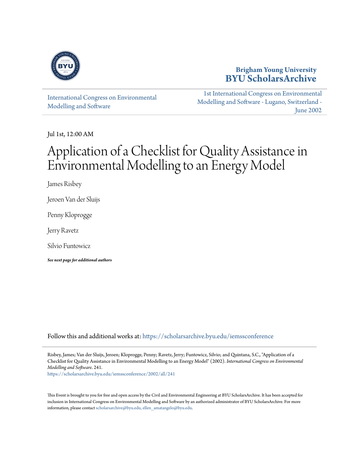

### **Brigham Young University [BYU ScholarsArchive](https://scholarsarchive.byu.edu?utm_source=scholarsarchive.byu.edu%2Fiemssconference%2F2002%2Fall%2F241&utm_medium=PDF&utm_campaign=PDFCoverPages)**

[International Congress on Environmental](https://scholarsarchive.byu.edu/iemssconference?utm_source=scholarsarchive.byu.edu%2Fiemssconference%2F2002%2Fall%2F241&utm_medium=PDF&utm_campaign=PDFCoverPages) [Modelling and Software](https://scholarsarchive.byu.edu/iemssconference?utm_source=scholarsarchive.byu.edu%2Fiemssconference%2F2002%2Fall%2F241&utm_medium=PDF&utm_campaign=PDFCoverPages)

[1st International Congress on Environmental](https://scholarsarchive.byu.edu/iemssconference/2002?utm_source=scholarsarchive.byu.edu%2Fiemssconference%2F2002%2Fall%2F241&utm_medium=PDF&utm_campaign=PDFCoverPages) [Modelling and Software - Lugano, Switzerland -](https://scholarsarchive.byu.edu/iemssconference/2002?utm_source=scholarsarchive.byu.edu%2Fiemssconference%2F2002%2Fall%2F241&utm_medium=PDF&utm_campaign=PDFCoverPages) [June 2002](https://scholarsarchive.byu.edu/iemssconference/2002?utm_source=scholarsarchive.byu.edu%2Fiemssconference%2F2002%2Fall%2F241&utm_medium=PDF&utm_campaign=PDFCoverPages)

Jul 1st, 12:00 AM

# Application of a Checklist for Quality Assistance in Environmental Modelling to an Energy Model

James Risbey

Jeroen Van der Sluijs

Penny Kloprogge

Jerry Ravetz

Silvio Funtowicz

*See next page for additional authors*

Follow this and additional works at: [https://scholarsarchive.byu.edu/iemssconference](https://scholarsarchive.byu.edu/iemssconference?utm_source=scholarsarchive.byu.edu%2Fiemssconference%2F2002%2Fall%2F241&utm_medium=PDF&utm_campaign=PDFCoverPages)

Risbey, James; Van der Sluijs, Jeroen; Kloprogge, Penny; Ravetz, Jerry; Funtowicz, Silvio; and Quintana, S.C., "Application of a Checklist for Quality Assistance in Environmental Modelling to an Energy Model" (2002). *International Congress on Environmental Modelling and Software*. 241. [https://scholarsarchive.byu.edu/iemssconference/2002/all/241](https://scholarsarchive.byu.edu/iemssconference/2002/all/241?utm_source=scholarsarchive.byu.edu%2Fiemssconference%2F2002%2Fall%2F241&utm_medium=PDF&utm_campaign=PDFCoverPages)

This Event is brought to you for free and open access by the Civil and Environmental Engineering at BYU ScholarsArchive. It has been accepted for inclusion in International Congress on Environmental Modelling and Software by an authorized administrator of BYU ScholarsArchive. For more information, please contact [scholarsarchive@byu.edu, ellen\\_amatangelo@byu.edu](mailto:scholarsarchive@byu.edu,%20ellen_amatangelo@byu.edu).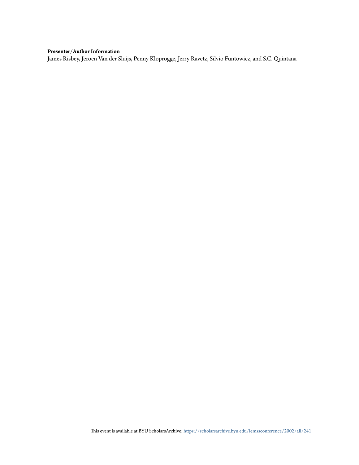#### **Presenter/Author Information**

James Risbey, Jeroen Van der Sluijs, Penny Kloprogge, Jerry Ravetz, Silvio Funtowicz, and S.C. Quintana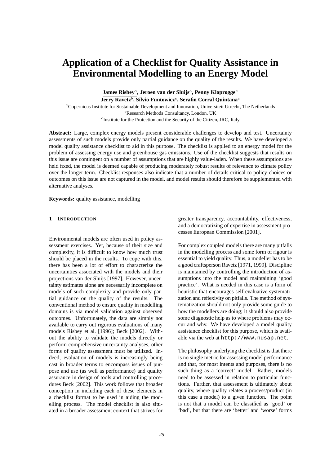## **Application of a Checklist for Quality Assistance in Environmental Modelling to an Energy Model**

James Risbey<sup>a</sup>, Jeroen van der Sluijs<sup>a</sup>, Penny Kloprogge<sup>a</sup> Jerry Ravetz<sup>b</sup>, Silvio Funtowicz<sup>c</sup>, Serafin Corral Quintana<sup>c</sup>

<sup>a</sup>Copernicus Institute for Sustainable Development and Innovation, Universiteit Utrecht, The Netherlands  $b$ Research Methods Consultancy, London, UK c Institute for the Protection and the Security of the Citizen, JRC, Italy

**Abstract:** Large, complex energy models present considerable challenges to develop and test. Uncertainty assessments of such models provide only partial guidance on the quality of the results. We have developed a model quality assistance checklist to aid in this purpose. The checklist is applied to an energy model for the problem of assessing energy use and greenhouse gas emissions. Use of the checklist suggests that results on this issue are contingent on a number of assumptions that are highly value-laden. When these assumptions are held fixed, the model is deemed capable of producing moderately robust results of relevance to climate policy over the longer term. Checklist responses also indicate that a number of details critical to policy choices or outcomes on this issue are not captured in the model, and model results should therefore be supplemented with alternative analyses.

**Keywords:** quality assistance, modelling

#### **1 INTRODUCTION**

Environmental models are often used in policy assessment exercises. Yet, because of their size and complexity, it is difficult to know how much trust should be placed in the results. To cope with this, there has been a lot of effort to characterize the uncertainties associated with the models and their projections van der Sluijs [1997]. However, uncertainty estimates alone are necessarily incomplete on models of such complexity and provide only partial guidance on the quality of the results. The conventional method to ensure quality in modelling domains is via model validation against observed outcomes. Unfortunately, the data are simply not available to carry out rigorous evaluations of many models Risbey et al. [1996]; Beck [2002]. Without the ability to validate the models directly or perform comprehensive uncertainty analyses, other forms of quality assessment must be utilized. Indeed, evaluation of models is increasingly being cast in broader terms to encompass issues of purpose and use (as well as performance) and quality assurance in design of tools and controlling procedures Beck [2002]. This work follows that broader conception in including each of these elements in a checklist format to be used in aiding the modelling process. The model checklist is also situated in a broader assessment context that strives for greater transparency, accountability, effectiveness, and a democratizing of expertise in assessment processes European Commission [2001].

For complex coupled models there are many pitfalls in the modelling process and some form of rigour is essential to yield quality. Thus, a modeller has to be a good craftsperson Ravetz [1971, 1999]. Discipline is maintained by controlling the introduction of assumptions into the model and maintaining 'good practice'. What is needed in this case is a form of heuristic that encourages self-evaluative systematization and reflexivity on pitfalls. The method of systematization should not only provide some guide to how the modellers are doing; it should also provide some diagnostic help as to where problems may occur and why. We have developed a model quality assistance checklist for this purpose, which is available via the web at http://www.nusap.net.

The philosophy underlying the checklist is that there is no single metric for assessing model performance and that, for most intents and purposes, there is no such thing as a 'correct' model. Rather, models need to be assessed in relation to particular functions. Further, that assessment is ultimately about quality, where quality relates a process/product (in this case a model) to a given function. The point is not that a model can be classified as 'good' or 'bad', but that there are 'better' and 'worse' forms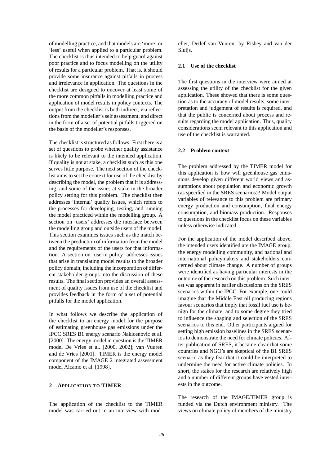of modelling practice, and that models are 'more' or 'less' useful when applied to a particular problem. The checklist is thus intended to help guard against poor practice and to focus modelling on the utility of results for a particular problem. That is, it should provide some insurance against pitfalls in process and irrelevance in application. The questions in the checklist are designed to uncover at least some of the more common pitfalls in modelling practice and application of model results in policy contexts. The output from the checklist is both indirect, via reflections from the modeller's self assessment, and direct in the form of a set of potential pitfalls triggered on the basis of the modeller's responses.

The checklist is structured as follows. First there is a set of questions to probe whether quality assistance is likely to be relevant to the intended application. If quality is not at stake, a checklist such as this one serves little purpose. The next section of the checklist aims to set the context for use of the checklist by describing the model, the problem that it is addressing, and some of the issues at stake in the broader policy setting for this problem. The checklist then addresses 'internal' quality issues, which refers to the processes for developing, testing, and running the model practiced within the modelling group. A section on 'users' addresses the interface between the modelling group and outside users of the model. This section examines issues such as the match between the production of information from the model and the requirements of the users for that information. A section on 'use in policy' addresses issues that arise in translating model results to the broader policy domain, including the incorporation of different stakeholder groups into the discussion of these results. The final section provides an overall assessment of quality issues from use of the checklist and provides feedback in the form of a set of potential pitfalls for the model application.

In what follows we describe the application of the checklist to an energy model for the purpose of estimating greenhouse gas emissions under the IPCC SRES B1 energy scenario Nakicenovic et al. [2000]. The energy model in question is the TIMER model De Vries et al. [2000, 2002]; van Vuuren and de Vries [2001]. TIMER is the energy model component of the IMAGE 2 integrated assessment model Alcamo et al. [1998].

#### **2 APPLICATION TO TIMER**

The application of the checklist to the TIMER model was carried out in an interview with modeller, Detlef van Vuuren, by Risbey and van der Sluijs.

#### **2.1 Use of the checklist**

The first questions in the interview were aimed at assessing the utility of the checklist for the given application. These showed that there is some question as to the accuracy of model results, some interpretation and judgement of results is required, and that the public is concerned about process and results regarding the model application. Thus, quality considerations seem relevant to this application and use of the checklist is warranted.

#### **2.2 Problem context**

The problem addressed by the TIMER model for this application is how will greenhouse gas emissions develop given different world views and assumptions about population and economic growth (as specified in the SRES scenarios)? Model output variables of relevance to this problem are primary energy production and consumption, final energy consumption, and biomass production. Responses to questions in the checklist focus on these variables unless otherwise indicated.

For the application of the model described above, the intended users identified are the IMAGE group, the energy modelling community, and national and international policymakers and stakeholders concerned about climate change. A number of groups were identified as having particular interests in the outcome of the research on this problem. Such interest was apparent in earlier discussions on the SRES scenarios within the IPCC. For example, one could imagine that the Middle East oil producing regions favour scenarios that imply that fossil fuel use is benign for the climate, and to some degree they tried to influence the shaping and selection of the SRES scenarios to this end. Other participants argued for setting high emission baselines in the SRES scenarios to demonstrate the need for climate policies. After publication of SRES, it became clear that some countries and NGO's are skeptical of the B1 SRES scenario as they fear that it could be interpreted to undermine the need for active climate policies. In short, the stakes for the research are relatively high and a number of different groups have vested interests in the outcome.

The research of the IMAGE/TIMER group is funded via the Dutch environment ministry. The views on climate policy of members of the ministry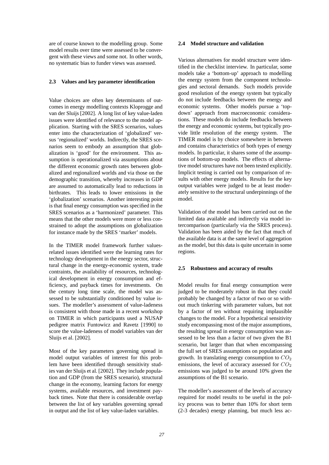are of course known to the modelling group. Some model results over time were assessed to be convergent with these views and some not. In other words, no systematic bias to funder views was assessed.

#### **2.3 Values and key parameter identification**

Value choices are often key determinants of outcomes in energy modelling contexts Kloprogge and van der Sluijs [2002]. A long list of key value-laden issues were identified of relevance to the model application. Starting with the SRES scenarios, values enter into the characterization of 'globalized' versus 'regionalized' worlds. Indirectly, the SRES scenarios seem to embody an assumption that globalization is 'good' for the environment. This assumption is operationalized via assumptions about the different economic growth rates between globalized and regionalized worlds and via those on the demographic transition, whereby increases in GDP are assumed to automatically lead to reductions in birthrates. This leads to lower emissions in the 'globalization' scenarios. Another interesting point is that final energy consumption was specified in the SRES scenarios as a 'harmonized' parameter. This means that the other models were more or less constrained to adopt the assumptions on globalization for instance made by the SRES 'marker' models.

In the TIMER model framework further valuesrelated issues identified were the learning rates for technology development in the energy sector, structural change in the energy-economic system, trade contraints, the availability of resources, technological development in energy consumption and efficiency, and payback times for investments. On the century long time scale, the model was assessed to be substantially conditioned by value issues. The modeller's assessment of value-ladeness is consistent with those made in a recent workshop on TIMER in which participants used a NUSAP pedigree matrix Funtowicz and Ravetz [1990] to score the value-ladeness of model variables van der Sluijs et al. [2002].

Most of the key parameters governing spread in model output variables of interest for this problem have been identified through sensitivity studies van der Sluijs et al. [2002]. They include population and GDP (from the SRES scenario), structural change in the economy, learning factors for energy systems, available resources, and investment payback times. Note that there is considerable overlap between the list of key variables governing spread in output and the list of key value-laden variables.

#### **2.4 Model structure and validation**

Various alternatives for model structure were identified in the checklist interview. In particular, some models take a 'bottom-up' approach to modelling the energy system from the component technologies and sectoral demands. Such models provide good resolution of the energy system but typically do not include feedbacks between the energy and economic systems. Other models pursue a 'topdown' approach from macroeconomic considerations. These models do include feedbacks between the energy and economic systems, but typically provide little resolution of the energy system. The TIMER model is by choice somewhere in between and contains characteristics of both types of energy models. In particular, it shares some of the assumptions of bottom-up models. The effects of alternative model structures have not been tested explicitly. Implicit testing is carried out by comparison of results with other energy models. Results for the key output variables were judged to be at least moderately sensitive to the structural underpinnings of the model.

Validation of the model has been carried out on the limited data available and indirectly via model intercomparison (particularly via the SRES process). Validation has been aided by the fact that much of the available data is at the same level of aggregation as the model, but this data is quite uncertain in some regions.

#### **2.5 Robustness and accuracy of results**

Model results for final energy consumption were judged to be moderately robust in that they could probably be changed by a factor of two or so without much tinkering with parameter values, but not by a factor of ten without requiring implausible changes to the model. For a hypothetical sensitivity study encompassing most of the major assumptions, the resulting spread in energy consumption was assessed to be less than a factor of two given the B1 scenario, but larger than that when encompassing the full set of SRES assumptions on population and growth. In translating energy consumption to  $CO<sub>2</sub>$ emissions, the level of accuracy assessed for  $CO<sub>2</sub>$ emissions was judged to be around 10% given the assumptions of the B1 scenario.

The modeller's assessment of the levels of accuracy required for model results to be useful in the policy process was to better than 10% for short term (2-3 decades) energy planning, but much less ac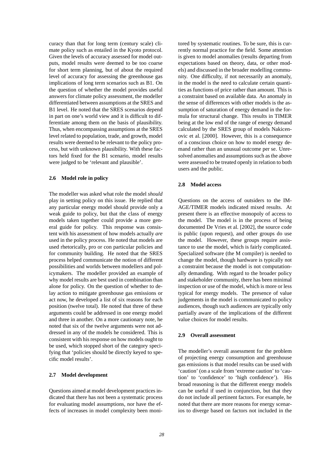curacy than that for long term (century scale) climate policy such as entailed in the Kyoto protocol. Given the levels of accuracy assessed for model outputs, model results were deemed to be too coarse for short term planning, but of about the required level of accuracy for assessing the greenhouse gas implications of long term scenarios such as B1. On the question of whether the model provides useful answers for climate policy assessment, the modeller differentiated between assumptions at the SRES and B1 level. He noted that the SRES scenarios depend in part on one's world view and it is difficult to differentiate among them on the basis of plausibility. Thus, when encompassing assumptions at the SRES level related to population, trade, and growth, model results were deemed to be relevant to the policy process, but with unknown plausibility. With these factors held fixed for the B1 scenario, model results were judged to be 'relevant and plausible'.

#### **2.6 Model role in policy**

The modeller was asked what role the model *should* play in setting policy on this issue. He replied that any particular energy model should provide only a weak guide to policy, but that the class of energy models taken together could provide a more general guide for policy. This response was consistent with his assessment of how models actually *are* used in the policy process. He noted that models are used rhetorically, pro or con particular policies and for community building. He noted that the SRES process helped communicate the notion of different possibilities and worlds between modellers and policymakers. The modeller provided an example of why model results are best used in combination than alone for policy. On the question of whether to delay action to mitigate greenhouse gas emissions or act now, he developed a list of six reasons for each position (twelve total). He noted that three of these arguments could be addressed in one energy model and three in another. On a more cautionary note, he noted that six of the twelve arguments were not addressed in any of the models he considered. This is consistent with his response on how models ought to be used, which stopped short of the category specifying that 'policies should be directly keyed to specific model results'.

#### **2.7 Model development**

Questions aimed at model development practices indicated that there has not been a systematic process for evaluating model assumptions, nor have the effects of increases in model complexity been monitored by systematic routines. To be sure, this is currently normal practice for the field. Some attention is given to model anomalies (results departing from expectations based on theory, data, or other models) and discussed in the broader modelling community. One difficulty, if not necessarily an anomaly, in the model is the need to calculate certain quantities as functions of price rather than amount. This is a constraint based on available data. An anomaly in the sense of differences with other models is the assumption of saturation of energy demand in the formula for structural change. This results in TIMER being at the low end of the range of energy demand calculated by the SRES group of models Nakicenovic et al. [2000]. However, this is a consequence of a conscious choice on how to model energy demand rather than an unusual outcome per se. Unresolved anomalies and assumptions such as the above were assessed to be treated openly in relation to both users and the public.

#### **2.8 Model access**

Questions on the access of outsiders to the IM-AGE/TIMER models indicated mixed results. At present there is an effective monopoly of access to the model. The model is in the process of being documented De Vries et al. [2002], the source code is public (upon request), and other groups do use the model. However, these groups require assistance to use the model, which is fairly complicated. Specialized software (the M compiler) is needed to change the model, though hardware is typically not a constraint because the model is not computationally demanding. With regard to the broader policy and stakeholder community, there has been minimal inspection or use of the model, which is more or less typical for energy models. The presence of value judgements in the model is communicated to policy audiences, though such audiences are typically only partially aware of the implications of the different value choices for model results.

#### **2.9 Overall assessment**

The modeller's overall assessment for the problem of projecting energy consumption and greenhouse gas emissions is that model results can be used with 'caution' (on a scale from 'extreme caution' to 'caution' to 'confidence' to 'high confidence'). His broad reasoning is that the different energy models can be useful if used in conjunction, but that they do not include all pertinent factors. For example, he noted that there are more reasons for energy scenarios to diverge based on factors not included in the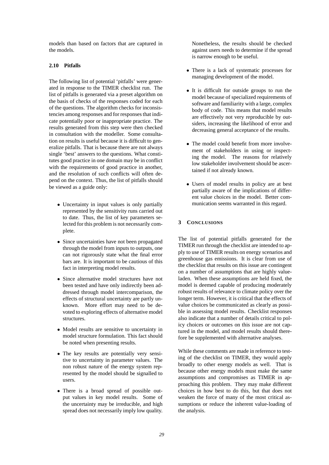models than based on factors that are captured in the models.

#### **2.10 Pitfalls**

The following list of potential 'pitfalls' were generated in response to the TIMER checklist run. The list of pitfalls is generated via a preset algorithm on the basis of checks of the responses coded for each of the questions. The algorithm checks for inconsistencies among responses and for responses that indicate potentially poor or inappropriate practice. The results generated from this step were then checked in consultation with the modeller. Some consultation on results is useful because it is difficult to generalize pitfalls. That is because there are not always single 'best' answers to the questions. What constitutes good practice in one domain may be in conflict with the requirements of good practice in another, and the resolution of such conflicts will often depend on the context. Thus, the list of pitfalls should be viewed as a guide only:

- Uncertainty in input values is only partially represented by the sensitivity runs carried out to date. Thus, the list of key parameters selected for this problem is not necessarily complete.
- Since uncertainties have not been propagated through the model from inputs to outputs, one can not rigorously state what the final error bars are. It is important to be cautious of this fact in interpreting model results.
- Since alternative model structures have not been tested and have only indirectly been addressed through model intercomparison, the effects of structural uncertainty are partly unknown. More effort may need to be devoted to exploring effects of alternative model structures.
- Model results are sensitive to uncertainty in model structure formulation. This fact should be noted when presenting results.
- The key results are potentially very sensitive to uncertainty in parameter values. The non robust nature of the energy system represented by the model should be signalled to users.
- There is a broad spread of possible output values in key model results. Some of the uncertainty may be irreducible, and high spread does not necessarily imply low quality.

Nonetheless, the results should be checked against users needs to determine if the spread is narrow enough to be useful.

- There is a lack of systematic processes for managing development of the model.
- It is difficult for outside groups to run the model because of specialized requirements of software and familiarity with a large, complex body of code. This means that model results are effectively not very reproducible by outsiders, increasing the likelihood of error and decreasing general acceptance of the results.
- The model could benefit from more involvement of stakeholders in using or inspecting the model. The reasons for relatively low stakeholder involvement should be ascertained if not already known.
- Users of model results in policy are at best partially aware of the implications of different value choices in the model. Better communication seems warranted in this regard.

#### **3 CONCLUSIONS**

The list of potential pitfalls generated for the TIMER run through the checklist are intended to apply to use of TIMER results on energy scenarios and greenhouse gas emissions. It is clear from use of the checklist that results on this issue are contingent on a number of assumptions that are highly valueladen. When these assumptions are held fixed, the model is deemed capable of producing moderately robust results of relevance to climate policy over the longer term. However, it is critical that the effects of value choices be communicated as clearly as possible in assessing model results. Checklist responses also indicate that a number of details critical to policy choices or outcomes on this issue are not captured in the model, and model results should therefore be supplemented with alternative analyses.

While these comments are made in reference to testing of the checklist on TIMER, they would apply broadly to other energy models as well. That is because other energy models must make the same assumptions and compromises as TIMER in approaching this problem. They may make different choices in how best to do this, but that does not weaken the force of many of the most critical assumptions or reduce the inherent value-loading of the analysis.